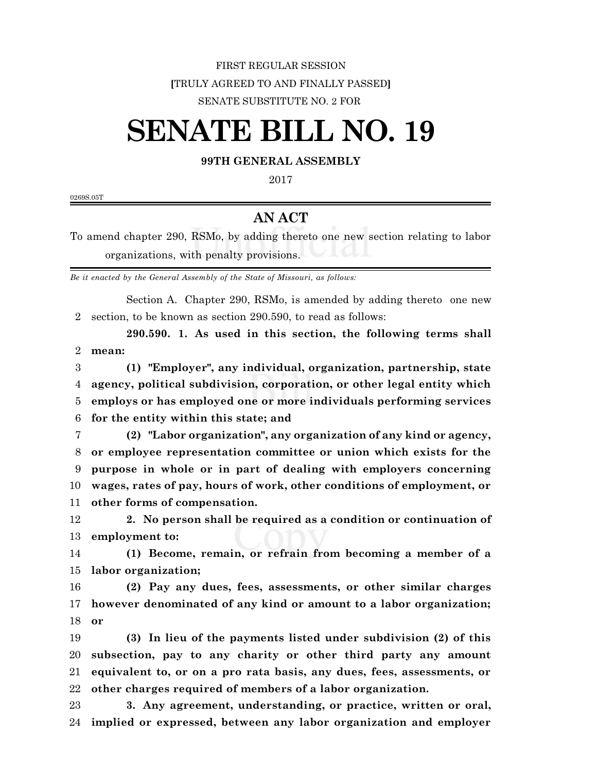## FIRST REGULAR SESSION **[**TRULY AGREED TO AND FINALLY PASSED**]** SENATE SUBSTITUTE NO. 2 FOR

## **SENATE BILL NO. 19**

## **99TH GENERAL ASSEMBLY**

0269S.05T

## **AN ACT**

To amend chapter 290, RSMo, by adding thereto one new section relating to labor organizations, with penalty provisions.

*Be it enacted by the General Assembly of the State of Missouri, as follows:*

Section A. Chapter 290, RSMo, is amended by adding thereto one new section, to be known as section 290.590, to read as follows:

**290.590. 1. As used in this section, the following terms shall mean:**

 **(1) "Employer", any individual, organization, partnership, state agency, political subdivision, corporation, or other legal entity which employs or has employed one or more individuals performing services for the entity within this state; and**

 **(2) "Labor organization", any organization of any kind or agency, or employee representation committee or union which exists for the purpose in whole or in part of dealing with employers concerning wages, rates of pay, hours of work, other conditions of employment, or other forms of compensation.**

 **2. No person shall be required as a condition or continuation of employment to:**

 **(1) Become, remain, or refrain from becoming a member of a labor organization;**

 **(2) Pay any dues, fees, assessments, or other similar charges however denominated of any kind or amount to a labor organization; or**

 **(3) In lieu of the payments listed under subdivision (2) of this subsection, pay to any charity or other third party any amount equivalent to, or on a pro rata basis, any dues, fees, assessments, or other charges required of members of a labor organization.**

 **3. Any agreement, understanding, or practice, written or oral, implied or expressed, between any labor organization and employer**